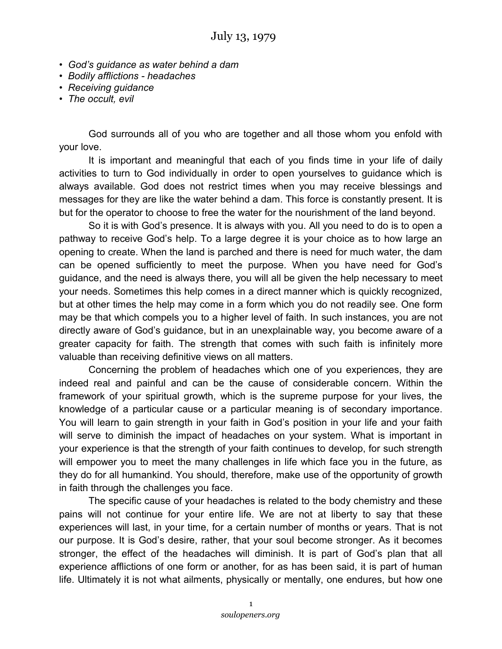- *God's guidance as water behind a dam*
- *Bodily afflictions headaches*
- *Receiving guidance*
- *The occult, evil*

God surrounds all of you who are together and all those whom you enfold with your love.

It is important and meaningful that each of you finds time in your life of daily activities to turn to God individually in order to open yourselves to guidance which is always available. God does not restrict times when you may receive blessings and messages for they are like the water behind a dam. This force is constantly present. It is but for the operator to choose to free the water for the nourishment of the land beyond.

So it is with God's presence. It is always with you. All you need to do is to open a pathway to receive God's help. To a large degree it is your choice as to how large an opening to create. When the land is parched and there is need for much water, the dam can be opened sufficiently to meet the purpose. When you have need for God's guidance, and the need is always there, you will all be given the help necessary to meet your needs. Sometimes this help comes in a direct manner which is quickly recognized, but at other times the help may come in a form which you do not readily see. One form may be that which compels you to a higher level of faith. In such instances, you are not directly aware of God's guidance, but in an unexplainable way, you become aware of a greater capacity for faith. The strength that comes with such faith is infinitely more valuable than receiving definitive views on all matters.

Concerning the problem of headaches which one of you experiences, they are indeed real and painful and can be the cause of considerable concern. Within the framework of your spiritual growth, which is the supreme purpose for your lives, the knowledge of a particular cause or a particular meaning is of secondary importance. You will learn to gain strength in your faith in God's position in your life and your faith will serve to diminish the impact of headaches on your system. What is important in your experience is that the strength of your faith continues to develop, for such strength will empower you to meet the many challenges in life which face you in the future, as they do for all humankind. You should, therefore, make use of the opportunity of growth in faith through the challenges you face.

The specific cause of your headaches is related to the body chemistry and these pains will not continue for your entire life. We are not at liberty to say that these experiences will last, in your time, for a certain number of months or years. That is not our purpose. It is God's desire, rather, that your soul become stronger. As it becomes stronger, the effect of the headaches will diminish. It is part of God's plan that all experience afflictions of one form or another, for as has been said, it is part of human life. Ultimately it is not what ailments, physically or mentally, one endures, but how one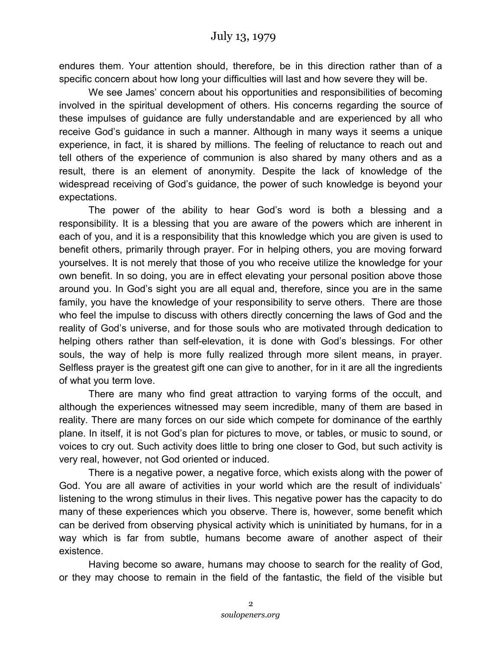endures them. Your attention should, therefore, be in this direction rather than of a specific concern about how long your difficulties will last and how severe they will be.

We see James' concern about his opportunities and responsibilities of becoming involved in the spiritual development of others. His concerns regarding the source of these impulses of guidance are fully understandable and are experienced by all who receive God's guidance in such a manner. Although in many ways it seems a unique experience, in fact, it is shared by millions. The feeling of reluctance to reach out and tell others of the experience of communion is also shared by many others and as a result, there is an element of anonymity. Despite the lack of knowledge of the widespread receiving of God's guidance, the power of such knowledge is beyond your expectations.

The power of the ability to hear God's word is both a blessing and a responsibility. It is a blessing that you are aware of the powers which are inherent in each of you, and it is a responsibility that this knowledge which you are given is used to benefit others, primarily through prayer. For in helping others, you are moving forward yourselves. It is not merely that those of you who receive utilize the knowledge for your own benefit. In so doing, you are in effect elevating your personal position above those around you. In God's sight you are all equal and, therefore, since you are in the same family, you have the knowledge of your responsibility to serve others. There are those who feel the impulse to discuss with others directly concerning the laws of God and the reality of God's universe, and for those souls who are motivated through dedication to helping others rather than self-elevation, it is done with God's blessings. For other souls, the way of help is more fully realized through more silent means, in prayer. Selfless prayer is the greatest gift one can give to another, for in it are all the ingredients of what you term love.

There are many who find great attraction to varying forms of the occult, and although the experiences witnessed may seem incredible, many of them are based in reality. There are many forces on our side which compete for dominance of the earthly plane. In itself, it is not God's plan for pictures to move, or tables, or music to sound, or voices to cry out. Such activity does little to bring one closer to God, but such activity is very real, however, not God oriented or induced.

There is a negative power, a negative force, which exists along with the power of God. You are all aware of activities in your world which are the result of individuals' listening to the wrong stimulus in their lives. This negative power has the capacity to do many of these experiences which you observe. There is, however, some benefit which can be derived from observing physical activity which is uninitiated by humans, for in a way which is far from subtle, humans become aware of another aspect of their existence.

Having become so aware, humans may choose to search for the reality of God, or they may choose to remain in the field of the fantastic, the field of the visible but